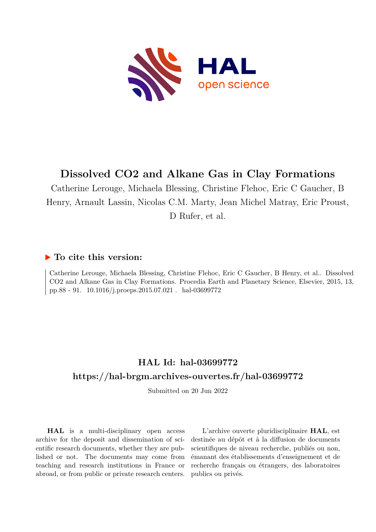

# **Dissolved CO2 and Alkane Gas in Clay Formations**

Catherine Lerouge, Michaela Blessing, Christine Flehoc, Eric C Gaucher, B Henry, Arnault Lassin, Nicolas C.M. Marty, Jean Michel Matray, Eric Proust, D Rufer, et al.

## **To cite this version:**

Catherine Lerouge, Michaela Blessing, Christine Flehoc, Eric C Gaucher, B Henry, et al.. Dissolved CO2 and Alkane Gas in Clay Formations. Procedia Earth and Planetary Science, Elsevier, 2015, 13, pp.88 - 91. 10.1016/j.proeps.2015.07.021 . hal-03699772

# **HAL Id: hal-03699772 <https://hal-brgm.archives-ouvertes.fr/hal-03699772>**

Submitted on 20 Jun 2022

**HAL** is a multi-disciplinary open access archive for the deposit and dissemination of scientific research documents, whether they are published or not. The documents may come from teaching and research institutions in France or abroad, or from public or private research centers.

L'archive ouverte pluridisciplinaire **HAL**, est destinée au dépôt et à la diffusion de documents scientifiques de niveau recherche, publiés ou non, émanant des établissements d'enseignement et de recherche français ou étrangers, des laboratoires publics ou privés.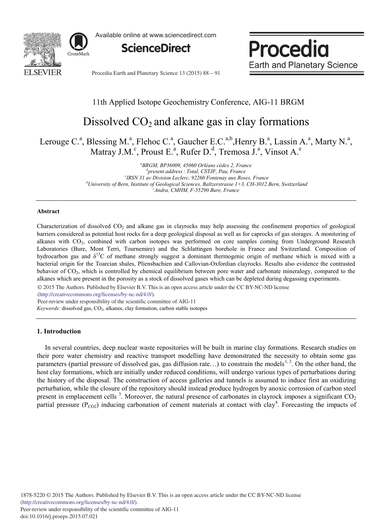

Available online at www.sciencedirect.com

**ScienceDirect**

Procedia **Earth and Planetary Science** 

Procedia Earth and Planetary Science 13 (2015) 88 - 91

## 11th Applied Isotope Geochemistry Conference, AIG-11 BRGM

# Dissolved  $CO<sub>2</sub>$  and alkane gas in clay formations

Lerouge C.<sup>a</sup>, Blessing M.<sup>a</sup>, Flehoc C.<sup>a</sup>, Gaucher E.C.<sup>a,b</sup>, Henry B.<sup>a</sup>, Lassin A.<sup>a</sup>, Marty N.<sup>a</sup>, Matray J.M.<sup>c</sup>, Proust E.<sup>a</sup>, Rufer D.<sup>d</sup>, Tremosa J.<sup>a</sup>, Vinsot A.<sup>e</sup>

> *a BRGM, BP36009, 45060 Orléans cédex 2, France b present address: Total, CSTJF, Pau, France c IRSN 31 av Division Leclerc, 92260 Fontenay aux Roses, France d University of Bern, Institute of Geological Sciences, Baltzerstrasse 1+3, CH-3012 Bern, Switzerland e Andra, CMHM, F-55290 Bure, France*

#### **Abstract**

Characterization of dissolved  $CO<sub>2</sub>$  and alkane gas in clayrocks may help assessing the confinement properties of geological barriers considered as potential host rocks for a deep geological disposal as well as for caprocks of gas storages. A monitoring of alkanes with CO2, combined with carbon isotopes was performed on core samples coming from Underground Research Laboratories (Bure, Mont Terri, Tournemire) and the Schlattingen borehole in France and Switzerland. Composition of hydrocarbon gas and  $\delta^{13}C$  of methane strongly suggest a dominant thermogenic origin of methane which is mixed with a bacterial origin for the Toarcian shales, Pliensbachien and Callovian-Oxfordian clayrocks. Results also evidence the contrasted behavior of  $CO<sub>2</sub>$ , which is controlled by chemical equilibrium between pore water and carbonate mineralogy, compared to the alkanes which are present in the porosity as a stock of dissolved gases which can be depleted during degassing experiments.

© 2015 The Authors. Published by Elsevier B.V. © 2015 The Authors. Published by Elsevier B.V. This is an open access article under the CC BY-NC-ND license

(http://creativecommons.org/licenses/by-nc-nd/4.0/).

Peer-review under responsibility of the scientific committee of AIG-11

*Keywords:* dissolved gas, CO<sub>2</sub>, alkanes, clay formation, carbon stable isotopes

### **1. Introduction**

In several countries, deep nuclear waste repositories will be built in marine clay formations. Research studies on their pore water chemistry and reactive transport modelling have demonstrated the necessity to obtain some gas parameters (partial pressure of dissolved gas, gas diffusion rate...) to constrain the models<sup>1,2</sup>. On the other hand, the host clay formations, which are initially under reduced conditions, will undergo various types of perturbations during the history of the disposal. The construction of access galleries and tunnels is assumed to induce first an oxidizing perturbation, while the closure of the repository should instead produce hydrogen by anoxic corrosion of carbon steel present in emplacement cells<sup>3</sup>. Moreover, the natural presence of carbonates in clayrock imposes a significant  $CO<sub>2</sub>$ partial pressure ( $P_{CO2}$ ) inducing carbonation of cement materials at contact with clay<sup>4</sup>. Forecasting the impacts of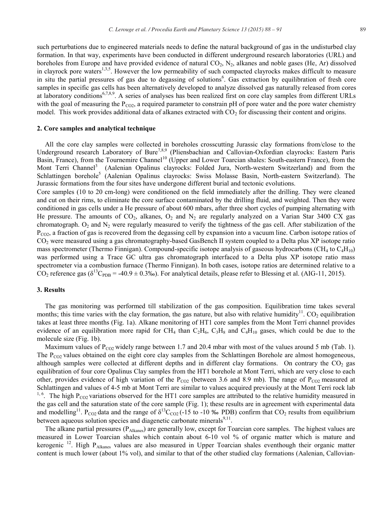such perturbations due to engineered materials needs to define the natural background of gas in the undisturbed clay formation. In that way, experiments have been conducted in different underground research laboratories (URL) and boreholes from Europe and have provided evidence of natural  $CO<sub>2</sub>$ ,  $N<sub>2</sub>$ , alkanes and noble gases (He, Ar) dissolved in clayrock pore waters<sup>1,3,5</sup>. However the low permeability of such compacted clayrocks makes difficult to measure in situ the partial pressures of gas due to degassing of solutions<sup>6</sup>. Gas extraction by equilibration of fresh core samples in specific gas cells has been alternatively developed to analyze dissolved gas naturally released from cores at laboratory conditions<sup>6,7,8,9</sup>. A series of analyses has been realized first on core clay samples from different URLs with the goal of measuring the  $P_{CO2}$ , a required parameter to constrain pH of pore water and the pore water chemistry model. This work provides additional data of alkanes extracted with  $CO<sub>2</sub>$  for discussing their content and origins.

#### **2. Core samples and analytical technique**

All the core clay samples were collected in boreholes crosscutting Jurassic clay formations from/close to the Underground research Laboratory of Bure<sup>7,8,9</sup> (Pliensbachian and Callovian-Oxfordian clayrocks: Eastern Paris Basin, France), from the Tournemire Channel<sup>10</sup> (Upper and Lower Toarcian shales: South-eastern France), from the Mont Terri Channel<sup>3</sup> (Aalenian Opalinus clayrocks: Folded Jura, North-western Switzerland) and from the Schlattingen borehole<sup>5</sup> (Aalenian Opalinus clayrocks: Swiss Molasse Basin, North-eastern Switzerland). The Jurassic formations from the four sites have undergone different burial and tectonic evolutions.

Core samples (10 to 20 cm-long) were conditioned on the field immediately after the drilling. They were cleaned and cut on their rims, to eliminate the core surface contaminated by the drilling fluid, and weighted. Then they were conditioned in gas cells under a He pressure of about 600 mbars, after three short cycles of pumping alternating with He pressure. The amounts of  $CO<sub>2</sub>$ , alkanes,  $O<sub>2</sub>$  and  $N<sub>2</sub>$  are regularly analyzed on a Varian Star 3400 CX gas chromatograph.  $O_2$  and  $N_2$  were regularly measured to verify the tightness of the gas cell. After stabilization of the  $P_{CO2}$ , a fraction of gas is recovered from the degassing cell by expansion into a vacuum line. Carbon isotope ratios of CO2 were measured using a gas chromatography-based GasBench II system coupled to a Delta plus XP isotope ratio mass spectrometer (Thermo Finnigan). Compound-specific isotope analysis of gaseous hydrocarbons (CH<sub>4</sub> to  $C_4H_{10}$ ) was performed using a Trace GC ultra gas chromatograph interfaced to a Delta plus XP isotope ratio mass spectrometer via a combustion furnace (Thermo Finnigan). In both cases, isotope ratios are determined relative to a  $CO_2$  reference gas ( $\delta^{13}C_{\rm PDB}$  = -40.9 ± 0.3‰). For analytical details, please refer to Blessing et al. (AIG-11, 2015).

### **3. Results**

The gas monitoring was performed till stabilization of the gas composition. Equilibration time takes several months; this time varies with the clay formation, the gas nature, but also with relative humidity<sup>11</sup>. CO<sub>2</sub> equilibration takes at least three months (Fig. 1a). Alkane monitoring of HT1 core samples from the Mont Terri channel provides evidence of an equilibration more rapid for CH<sub>4</sub> than  $C_2H_6$ ,  $C_3H_8$  and  $C_4H_{10}$  gases, which could be due to the molecule size (Fig. 1b).

Maximum values of  $P_{CO2}$  widely range between 1.7 and 20.4 mbar with most of the values around 5 mb (Tab. 1). The  $P_{CO2}$  values obtained on the eight core clay samples from the Schlattingen Borehole are almost homogeneous, although samples were collected at different depths and in different clay formations. On contrary the  $CO<sub>2</sub>$  gas equilibration of four core Opalinus Clay samples from the HT1 borehole at Mont Terri, which are very close to each other, provides evidence of high variation of the  $P_{CO2}$  (between 3.6 and 8.9 mb). The range of  $P_{CO2}$  measured at Schlattingen and values of 4-5 mb at Mont Terri are similar to values acquired previously at the Mont Terri rock lab <sup>1, 6</sup>. The high P<sub>CO2</sub> variations observed for the HT1 core samples are attributed to the relative humidity measured in the gas cell and the saturation state of the core sample (Fig. 1); these results are in agreement with experimental data and modelling<sup>11</sup>. P<sub>CO2</sub> data and the range of  $\delta^{13}C_{CO2}$  (-15 to -10 ‰ PDB) confirm that CO<sub>2</sub> results from equilibrium between aqueous solution species and diagenetic carbonate minerals<sup>9,11</sup>.

The alkane partial pressures ( $P_{\text{Alkanes}}$ ) are generally low, except for Toarcian core samples. The highest values are measured in Lower Toarcian shales which contain about 6-10 vol % of organic matter which is mature and kerogenic  $^{12}$ . High P<sub>Alkanes</sub> values are also measured in Upper Toarcian shales eventhough their organic matter content is much lower (about 1% vol), and similar to that of the other studied clay formations (Aalenian, Callovian-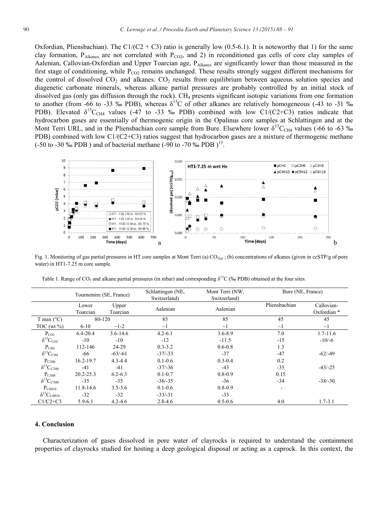Oxfordian, Pliensbachian). The C1/(C2 + C3) ratio is generally low (0.5-6.1). It is noteworthy that 1) for the same clay formation,  $P_{\text{Alkanes}}$  are not correlated with  $P_{CO2}$ , and 2) in reconditioned gas cells of core clay samples of Aalenian, Callovian-Oxfordian and Upper Toarcian age, PAIkanes are significantly lower than those measured in the first stage of conditioning, while  $P_{CO2}$  remains unchanged. These results strongly suggest different mechanisms for the control of dissolved  $CO<sub>2</sub>$  and alkanes.  $CO<sub>2</sub>$  results from equilibrium between aqueous solution species and diagenetic carbonate minerals, whereas alkane partial pressures are probably controlled by an initial stock of dissolved gas (only gas diffusion through the rock). CH4 presents significant isotopic variations from one formation to another (from -66 to -33 ‰ PDB), whereas  $\delta^{13}$ C of other alkanes are relatively homogeneous (-43 to -31 ‰ PDB). Elevated  $\delta^{13}C_{CH4}$  values (-47 to -33 ‰ PDB) combined with low C1/(C2+C3) ratios indicate that hydrocarbon gases are essentially of thermogenic origin in the Opalinus core samples at Schlattingen and at the Mont Terri URL, and in the Pliensbachian core sample from Bure. Elsewhere lower  $\delta^{13}C_{CH4}$  values (-66 to -63 ‰ PDB) combined with low C1/(C2+C3) ratios suggest that hydrocarbon gases are a mixture of thermogenic methane (-50 to -30 ‰ PDB) and of bacterial methane (-90 to -70 ‰ PDB)<sup>13</sup>.



Fig. 1. Monitoring of gas partial pressures in HT core samples at Mont Terri (a)  $CO<sub>2(9)</sub>$ ; (b) concentrations of alkanes (given in ccSTP/g of pore water) in HT1-7.25 m core sample.

|                             | Tournemire (SE, France) |                   | Schlattingen (NE,<br>Switzerland) | Mont Terri (NW,<br>Switzerland) | Bure (NE, France)        |                           |
|-----------------------------|-------------------------|-------------------|-----------------------------------|---------------------------------|--------------------------|---------------------------|
|                             | Lower<br>Toarcian       | Upper<br>Toarcian | Aalenian                          | Aalenian                        | Pliensbachian            | Callovian-<br>Oxfordian * |
| T max $(^{\circ}C)$         | 80-120                  |                   | 85                                | 85                              | 45                       | 45                        |
| TOC (wt $\%$ )              | $6 - 10$                | $\sim$ 1-2        | $\sim$ 1                          | $\sim$ 1                        | $\sim$ 1                 | $\sim$ 1                  |
| $P_{CO2}$                   | $6.4 - 20.4$            | $3.6 - 14.6$      | $4.2 - 6.1$                       | $3.6 - 8.9$                     | 7.0                      | $1.7 - 11.6$              |
| $\delta^{13}C_{CO2}$        | $-10$                   | $-10$             | $-12$                             | $-11.5$                         | $-15$                    | $-10/-6$                  |
| P <sub>CH4</sub>            | 112-146                 | 24-29             | $0.3 - 3.2$                       | $0.6 - 0.8$                     | 1.3                      |                           |
| $\delta^{13}C_{\rm CH4}$    | -66                     | $-63/-61$         | $-37/ - 33$                       | $-37$                           | $-47$                    | $-62/ -49$                |
| $P_{C2H6}$                  | 16.2-19.7               | $4.3 - 4.4$       | $0.1 - 0.6$                       | $0.3 - 0.4$                     | 0.2                      |                           |
| $\delta^{13}C_{C2H6}$       | $-41$                   | $-41$             | $-37/ -36$                        | $-43$                           | $-35$                    | $-43/ -25$                |
| $P_{C3H8}$                  | $20.2 - 25.3$           | $6.2 - 6.3$       | $0.1 - 0.7$                       | $0.8 - 0.9$                     | 0.15                     |                           |
| $\delta^{13}C_{\rm C3H8}$   | $-35$                   | $-35$             | $-36/-35$                         | $-36$                           | $-34$                    | $-38/-30$                 |
| $P_{C4H10}$                 | $11.8 - 14.6$           | $3.5 - 3.6$       | $0.1 - 0.6$                       | $0.8 - 0.9$                     | $\overline{\phantom{0}}$ |                           |
| $\delta^{13}C_{\rm{C4H10}}$ | $-32$                   | $-32$             | $-33/-31$                         | $-33$                           |                          |                           |
| $C1/C2+C3$                  | $5.9 - 6.1$             | $4.2 - 4.6$       | $2.8 - 4.6$                       | $0.5 - 0.6$                     | 4.0                      | $1.7 - 3.1$               |

Table 1. Range of CO<sub>2</sub> and alkane partial pressures (in mbar) and corresponding  $\delta^{13}C$  (‰ PDB) obtained at the four sites.

#### **4. Conclusion**

Characterization of gases dissolved in pore water of clayrocks is required to understand the containment properties of clayrocks studied for hosting a deep geological disposal or acting as a caprock. In this context, the